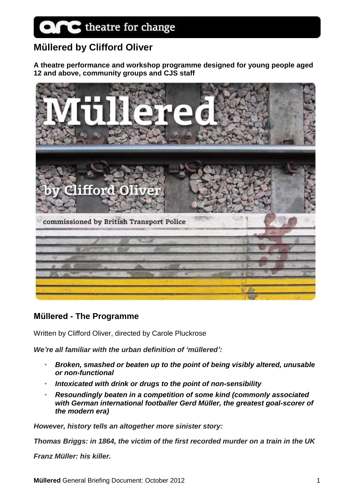# theatre for change

## **Müllered by Clifford Oliver**

**A theatre performance and workshop programme designed for young people aged 12 and above, community groups and CJS staff**



### **Müllered - The Programme**

Written by Clifford Oliver, directed by Carole Pluckrose

*We're all familiar with the urban definition of 'müllered':*

- *Broken, smashed or beaten up to the point of being visibly altered, unusable or non-functional*
- *Intoxicated with drink or drugs to the point of non-sensibility*
- *Resoundingly beaten in a competition of some kind (commonly associated with German international footballer Gerd Müller, the greatest goal-scorer of the modern era)*

*However, history tells an altogether more sinister story:*

*Thomas Briggs: in 1864, the victim of the first recorded murder on a train in the UK*

*Franz Müller: his killer.*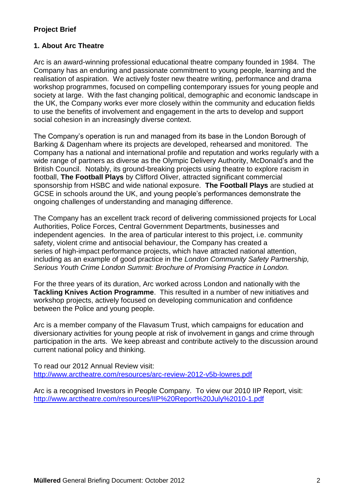#### **Project Brief**

#### **1. About Arc Theatre**

Arc is an award-winning professional educational theatre company founded in 1984. The Company has an enduring and passionate commitment to young people, learning and the realisation of aspiration. We actively foster new theatre writing, performance and drama workshop programmes, focused on compelling contemporary issues for young people and society at large. With the fast changing political, demographic and economic landscape in the UK, the Company works ever more closely within the community and education fields to use the benefits of involvement and engagement in the arts to develop and support social cohesion in an increasingly diverse context.

The Company's operation is run and managed from its base in the London Borough of Barking & Dagenham where its projects are developed, rehearsed and monitored. The Company has a national and international profile and reputation and works regularly with a wide range of partners as diverse as the Olympic Delivery Authority, McDonald's and the British Council. Notably, its ground-breaking projects using theatre to explore racism in football, **The Football Plays** by Clifford Oliver, attracted significant commercial sponsorship from HSBC and wide national exposure. **The Football Plays** are studied at GCSE in schools around the UK, and young people's performances demonstrate the ongoing challenges of understanding and managing difference.

The Company has an excellent track record of delivering commissioned projects for Local Authorities, Police Forces, Central Government Departments, businesses and independent agencies. In the area of particular interest to this project, i.e. community safety, violent crime and antisocial behaviour, the Company has created a series of high-impact performance projects, which have attracted national attention, including as an example of good practice in the *London Community Safety Partnership, Serious Youth Crime London Summit: Brochure of Promising Practice in London.* 

For the three years of its duration, Arc worked across London and nationally with the **Tackling Knives Action Programme**. This resulted in a number of new initiatives and workshop projects, actively focused on developing communication and confidence between the Police and young people.

Arc is a member company of the Flavasum Trust, which campaigns for education and diversionary activities for young people at risk of involvement in gangs and crime through participation in the arts. We keep abreast and contribute actively to the discussion around current national policy and thinking.

To read our 2012 Annual Review visit: <http://www.arctheatre.com/resources/arc-review-2012-v5b-lowres.pdf>

Arc is a recognised Investors in People Company. To view our 2010 IIP Report, visit: <http://www.arctheatre.com/resources/IIP%20Report%20July%2010-1.pdf>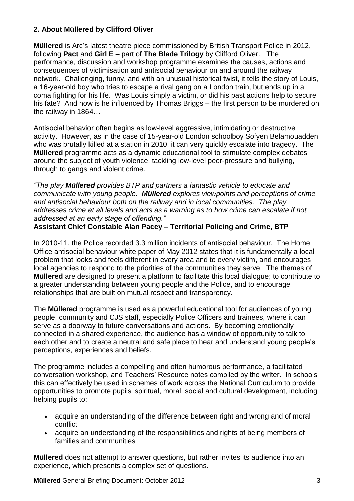#### **2. About Müllered by Clifford Oliver**

**Müllered** is Arc's latest theatre piece commissioned by British Transport Police in 2012, following **Pact** and **Girl E** – part of **The Blade Trilogy** by Clifford Oliver. The performance, discussion and workshop programme examines the causes, actions and consequences of victimisation and antisocial behaviour on and around the railway network. Challenging, funny, and with an unusual historical twist, it tells the story of Louis, a 16-year-old boy who tries to escape a rival gang on a London train, but ends up in a coma fighting for his life. Was Louis simply a victim, or did his past actions help to secure his fate? And how is he influenced by Thomas Briggs – the first person to be murdered on the railway in 1864…

Antisocial behavior often begins as low-level aggressive, intimidating or destructive activity. However, as in the case of 15-year-old London schoolboy Sofyen Belamouadden who was brutally killed at a station in 2010, it can very quickly escalate into tragedy. The **Müllered** programme acts as a dynamic educational tool to stimulate complex debates around the subject of youth violence, tackling low-level peer-pressure and bullying, through to gangs and violent crime.

*"The play Müllered provides BTP and partners a fantastic vehicle to educate and communicate with young people. Müllered explores viewpoints and perceptions of crime and antisocial behaviour both on the railway and in local communities. The play addresses crime at all levels and acts as a warning as to how crime can escalate if not addressed at an early stage of offending."* 

**Assistant Chief Constable Alan Pacey – Territorial Policing and Crime, BTP**

In 2010-11, the Police recorded 3.3 million incidents of antisocial behaviour. The Home Office antisocial behaviour white paper of May 2012 states that it is fundamentally a local problem that looks and feels different in every area and to every victim, and encourages local agencies to respond to the priorities of the communities they serve. The themes of **Müllered** are designed to present a platform to facilitate this local dialogue; to contribute to a greater understanding between young people and the Police, and to encourage relationships that are built on mutual respect and transparency.

The **Müllered** programme is used as a powerful educational tool for audiences of young people, community and CJS staff, especially Police Officers and trainees, where it can serve as a doorway to future conversations and actions. By becoming emotionally connected in a shared experience, the audience has a window of opportunity to talk to each other and to create a neutral and safe place to hear and understand young people's perceptions, experiences and beliefs.

The programme includes a compelling and often humorous performance, a facilitated conversation workshop, and Teachers' Resource notes compiled by the writer. In schools this can effectively be used in schemes of work across the National Curriculum to provide opportunities to promote pupils' spiritual, moral, social and cultural development, including helping pupils to:

- acquire an understanding of the difference between right and wrong and of moral conflict
- acquire an understanding of the responsibilities and rights of being members of families and communities

**Müllered** does not attempt to answer questions, but rather invites its audience into an experience, which presents a complex set of questions.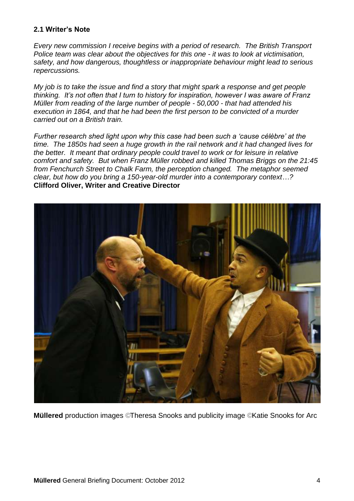#### **2.1 Writer's Note**

*Every new commission I receive begins with a period of research. The British Transport Police team was clear about the objectives for this one - it was to look at victimisation, safety, and how dangerous, thoughtless or inappropriate behaviour might lead to serious repercussions.*

*My job is to take the issue and find a story that might spark a response and get people thinking. It's not often that I turn to history for inspiration, however I was aware of Franz Müller from reading of the large number of people - 50,000 - that had attended his execution in 1864, and that he had been the first person to be convicted of a murder carried out on a British train.* 

*Further research shed light upon why this case had been such a 'cause célèbre' at the time. The 1850s had seen a huge growth in the rail network and it had changed lives for the better. It meant that ordinary people could travel to work or for leisure in relative comfort and safety. But when Franz Müller robbed and killed Thomas Briggs on the 21:45 from Fenchurch Street to Chalk Farm, the perception changed. The metaphor seemed clear, but how do you bring a 150-year-old murder into a contemporary context…?*  **Clifford Oliver, Writer and Creative Director**



**Müllered** production images ©Theresa Snooks and publicity image ©Katie Snooks for Arc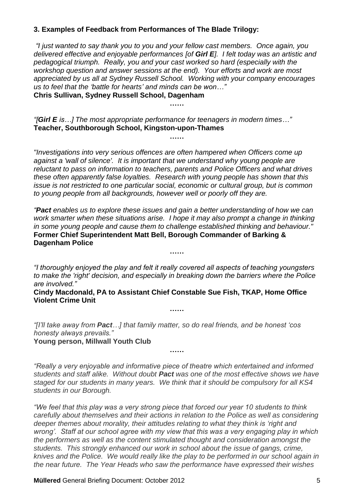#### **3. Examples of Feedback from Performances of The Blade Trilogy:**

*"I just wanted to say thank you to you and your fellow cast members. Once again, you delivered effective and enjoyable performances [of Girl E]. I felt today was an artistic and pedagogical triumph. Really, you and your cast worked so hard (especially with the workshop question and answer sessions at the end). Your efforts and work are most appreciated by us all at Sydney Russell School. Working with your company encourages us to feel that the 'battle for hearts' and minds can be won…"*

**……**

**……**

**Chris Sullivan, Sydney Russell School, Dagenham**

*"[Girl E is…] The most appropriate performance for teenagers in modern times…"* **Teacher, Southborough School, Kingston-upon-Thames**

*"Investigations into very serious offences are often hampered when Officers come up against a 'wall of silence'. It is important that we understand why young people are reluctant to pass on information to teachers, parents and Police Officers and what drives these often apparently false loyalties. Research with young people has shown that this issue is not restricted to one particular social, economic or cultural group, but is common to young people from all backgrounds, however well or poorly off they are.* 

*"Pact enables us to explore these issues and gain a better understanding of how we can*  work smarter when these situations arise. I hope it may also prompt a change in thinking *in some young people and cause them to challenge established thinking and behaviour."*  **Former Chief Superintendent Matt Bell, Borough Commander of Barking & Dagenham Police**

*"I thoroughly enjoyed the play and felt it really covered all aspects of teaching youngsters to make the 'right' decision, and especially in breaking down the barriers where the Police are involved."*

**……**

**……**

**Cindy Macdonald, PA to Assistant Chief Constable Sue Fish, TKAP, Home Office Violent Crime Unit**

*"[I'll take away from Pact…] that family matter, so do real friends, and be honest 'cos honesty always prevails."* **Young person, Millwall Youth Club**

*"Really a very enjoyable and informative piece of theatre which entertained and informed students and staff alike. Without doubt Pact was one of the most effective shows we have staged for our students in many years. We think that it should be compulsory for all KS4 students in our Borough.*

**……**

*"We feel that this play was a very strong piece that forced our year 10 students to think carefully about themselves and their actions in relation to the Police as well as considering deeper themes about morality, their attitudes relating to what they think is 'right and wrong'. Staff at our school agree with my view that this was a very engaging play in which the performers as well as the content stimulated thought and consideration amongst the students. This strongly enhanced our work in school about the issue of gangs, crime, knives and the Police. We would really like the play to be performed in our school again in the near future. The Year Heads who saw the performance have expressed their wishes* 

**Müllered** General Briefing Document: October 2012 **5** 5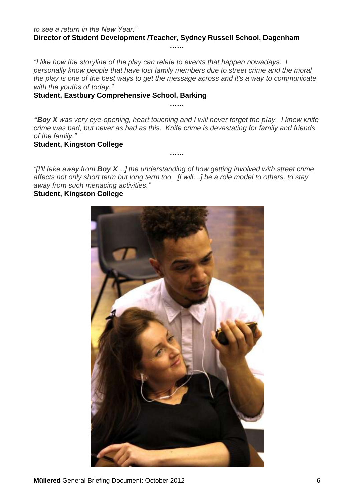*to see a return in the New Year."*

**Director of Student Development /Teacher, Sydney Russell School, Dagenham ……**

*"I like how the storyline of the play can relate to events that happen nowadays. I personally know people that have lost family members due to street crime and the moral the play is one of the best ways to get the message across and it's a way to communicate with the youths of today."*

#### **Student, Eastbury Comprehensive School, Barking**

*"Boy X was very eye-opening, heart touching and I will never forget the play. I knew knife crime was bad, but never as bad as this. Knife crime is devastating for family and friends of the family."*

**……**

**……**

**Student, Kingston College**

*"[I'll take away from Boy X…] the understanding of how getting involved with street crime affects not only short term but long term too. [I will…] be a role model to others, to stay away from such menacing activities."*

#### **Student, Kingston College**

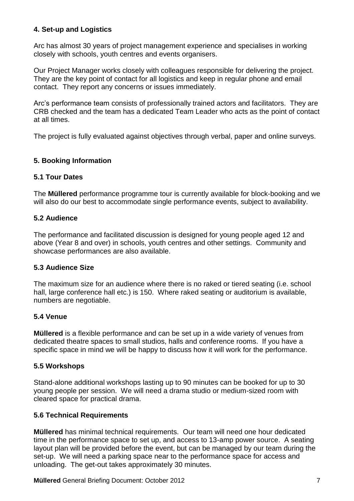#### **4. Set-up and Logistics**

Arc has almost 30 years of project management experience and specialises in working closely with schools, youth centres and events organisers.

Our Project Manager works closely with colleagues responsible for delivering the project. They are the key point of contact for all logistics and keep in regular phone and email contact. They report any concerns or issues immediately.

Arc's performance team consists of professionally trained actors and facilitators. They are CRB checked and the team has a dedicated Team Leader who acts as the point of contact at all times.

The project is fully evaluated against objectives through verbal, paper and online surveys.

#### **5. Booking Information**

#### **5.1 Tour Dates**

The **Müllered** performance programme tour is currently available for block-booking and we will also do our best to accommodate single performance events, subject to availability.

#### **5.2 Audience**

The performance and facilitated discussion is designed for young people aged 12 and above (Year 8 and over) in schools, youth centres and other settings. Community and showcase performances are also available.

#### **5.3 Audience Size**

The maximum size for an audience where there is no raked or tiered seating (i.e. school hall, large conference hall etc.) is 150. Where raked seating or auditorium is available, numbers are negotiable.

#### **5.4 Venue**

**Müllered** is a flexible performance and can be set up in a wide variety of venues from dedicated theatre spaces to small studios, halls and conference rooms. If you have a specific space in mind we will be happy to discuss how it will work for the performance.

#### **5.5 Workshops**

Stand-alone additional workshops lasting up to 90 minutes can be booked for up to 30 young people per session. We will need a drama studio or medium-sized room with cleared space for practical drama.

#### **5.6 Technical Requirements**

**Müllered** has minimal technical requirements. Our team will need one hour dedicated time in the performance space to set up, and access to 13-amp power source. A seating layout plan will be provided before the event, but can be managed by our team during the set-up. We will need a parking space near to the performance space for access and unloading. The get-out takes approximately 30 minutes.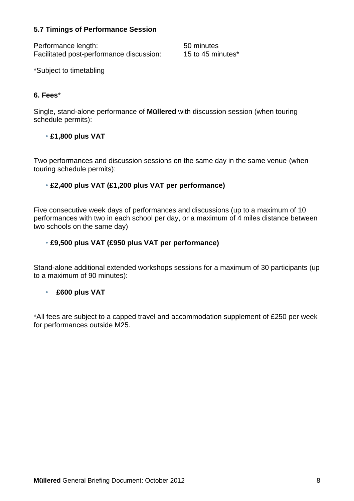#### **5.7 Timings of Performance Session**

Performance length: 50 minutes Facilitated post-performance discussion: 15 to 45 minutes\*

\*Subject to timetabling

#### **6. Fees**\*

Single, stand-alone performance of **Müllered** with discussion session (when touring schedule permits):

#### • **£1,800 plus VAT**

Two performances and discussion sessions on the same day in the same venue (when touring schedule permits):

#### • **£2,400 plus VAT (£1,200 plus VAT per performance)**

Five consecutive week days of performances and discussions (up to a maximum of 10 performances with two in each school per day, or a maximum of 4 miles distance between two schools on the same day)

#### • **£9,500 plus VAT (£950 plus VAT per performance)**

Stand-alone additional extended workshops sessions for a maximum of 30 participants (up to a maximum of 90 minutes):

#### • **£600 plus VAT**

\*All fees are subject to a capped travel and accommodation supplement of £250 per week for performances outside M25.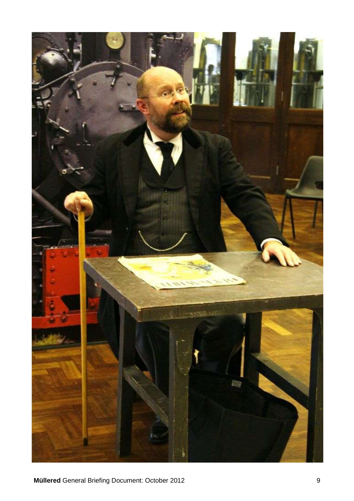